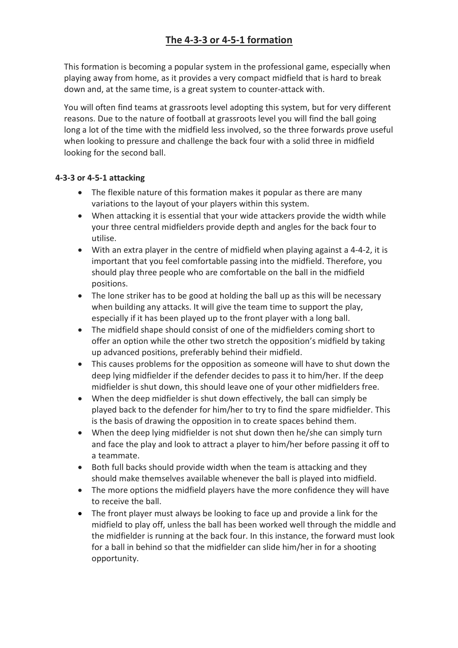## **The 4-3-3 or 4-5-1 formation**

This formation is becoming a popular system in the professional game, especially when playing away from home, as it provides a very compact midfield that is hard to break down and, at the same time, is a great system to counter-attack with.

You will often find teams at grassroots level adopting this system, but for very different reasons. Due to the nature of football at grassroots level you will find the ball going long a lot of the time with the midfield less involved, so the three forwards prove useful when looking to pressure and challenge the back four with a solid three in midfield looking for the second ball.

## **4-3-3 or 4-5-1 attacking**

- The flexible nature of this formation makes it popular as there are many variations to the layout of your players within this system.
- When attacking it is essential that your wide attackers provide the width while your three central midfielders provide depth and angles for the back four to utilise.
- With an extra player in the centre of midfield when playing against a 4-4-2, it is important that you feel comfortable passing into the midfield. Therefore, you should play three people who are comfortable on the ball in the midfield positions.
- The lone striker has to be good at holding the ball up as this will be necessary when building any attacks. It will give the team time to support the play, especially if it has been played up to the front player with a long ball.
- The midfield shape should consist of one of the midfielders coming short to offer an option while the other two stretch the opposition's midfield by taking up advanced positions, preferably behind their midfield.
- This causes problems for the opposition as someone will have to shut down the deep lying midfielder if the defender decides to pass it to him/her. If the deep midfielder is shut down, this should leave one of your other midfielders free.
- When the deep midfielder is shut down effectively, the ball can simply be played back to the defender for him/her to try to find the spare midfielder. This is the basis of drawing the opposition in to create spaces behind them.
- When the deep lying midfielder is not shut down then he/she can simply turn and face the play and look to attract a player to him/her before passing it off to a teammate.
- Both full backs should provide width when the team is attacking and they should make themselves available whenever the ball is played into midfield.
- The more options the midfield players have the more confidence they will have to receive the ball.
- The front player must always be looking to face up and provide a link for the midfield to play off, unless the ball has been worked well through the middle and the midfielder is running at the back four. In this instance, the forward must look for a ball in behind so that the midfielder can slide him/her in for a shooting opportunity.